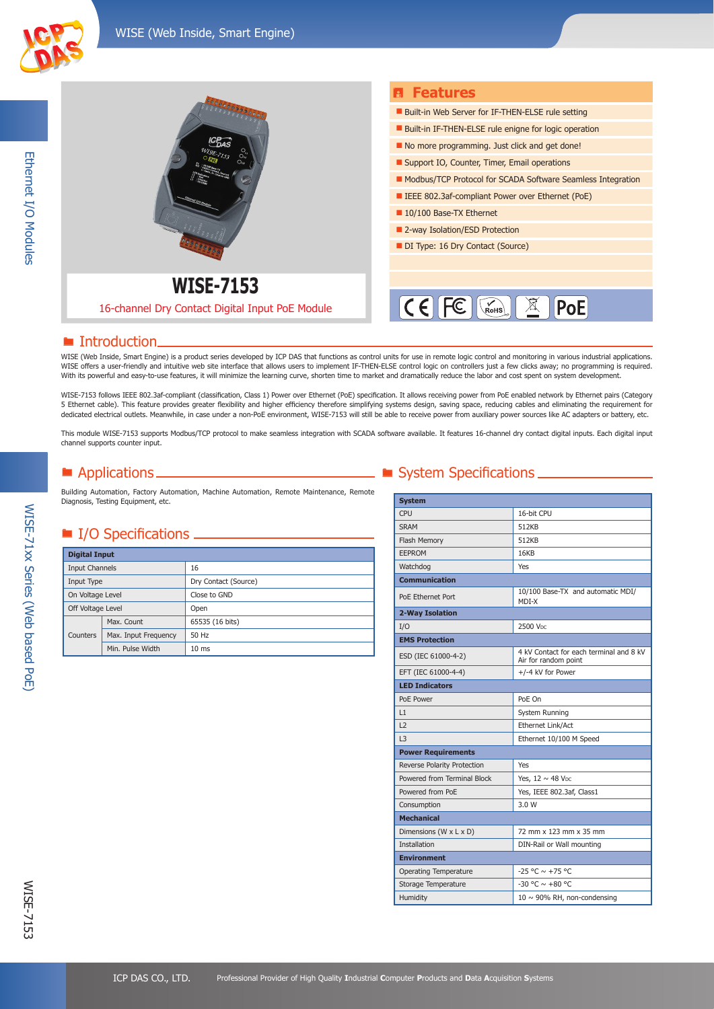

Ethernet I/O Modules

Ethernet I/O Modules



### ■ Introduction.

WISE (Web Inside, Smart Engine) is a product series developed by ICP DAS that functions as control units for use in remote logic control and monitoring in various industrial applications. WISE offers a user-friendly and intuitive web site interface that allows users to implement IF-THEN-ELSE control logic on controllers just a few clicks away; no programming is required. With its powerful and easy-to-use features, it will minimize the learning curve, shorten time to market and dramatically reduce the labor and cost spent on system development.

WISE-7153 follows IEEE 802.3af-compliant (classification, Class 1) Power over Ethernet (PoE) specification. It allows receiving power from PoE enabled network by Ethernet pairs (Category 5 Ethernet cable). This feature provides greater flexibility and higher efficiency therefore simplifying systems design, saving space, reducing cables and eliminating the requirement for dedicated electrical outlets. Meanwhile, in case under a non-PoE environment, WISE-7153 will still be able to receive power from auxiliary power sources like AC adapters or battery, etc.

This module WISE-7153 supports Modbus/TCP protocol to make seamless integration with SCADA software available. It features 16-channel dry contact digital inputs. Each digital input channel supports counter input.

Building Automation, Factory Automation, Machine Automation, Remote Maintenance, Remote Diagnosis, Testing Equipment, etc.

## ■ I/O Specifications <u>\_\_\_\_\_\_\_\_\_\_\_</u>

| <b>Digital Input</b>  |                      |                      |
|-----------------------|----------------------|----------------------|
| <b>Input Channels</b> |                      | 16                   |
| Input Type            |                      | Dry Contact (Source) |
| On Voltage Level      |                      | Close to GND         |
| Off Voltage Level     |                      | Open                 |
|                       | Max. Count           | 65535 (16 bits)      |
| Counters              | Max. Input Frequency | 50 Hz                |
|                       | Min. Pulse Width     | 10 <sub>ms</sub>     |

## ■ Applications ■ System Specifications ■ System Specifications ■

| <b>System</b>                |                                                                 |
|------------------------------|-----------------------------------------------------------------|
| CPU                          | 16-bit CPU                                                      |
| <b>SRAM</b>                  | 512KB                                                           |
| Flash Memory                 | 512KB                                                           |
| <b>EEPROM</b>                | 16KB                                                            |
| Watchdog                     | <b>Yes</b>                                                      |
| <b>Communication</b>         |                                                                 |
| PoE Ethernet Port            | 10/100 Base-TX and automatic MDI/<br>MDI-X                      |
| 2-Way Isolation              |                                                                 |
| I/O                          | 2500 V <sub>DC</sub>                                            |
| <b>EMS Protection</b>        |                                                                 |
| ESD (IEC 61000-4-2)          | 4 kV Contact for each terminal and 8 kV<br>Air for random point |
| EFT (IEC 61000-4-4)          | +/-4 kV for Power                                               |
| <b>LED Indicators</b>        |                                                                 |
| PoE Power                    | PoE On                                                          |
| L1                           | System Running                                                  |
| L2                           | Ethernet Link/Act                                               |
| 3                            | Ethernet 10/100 M Speed                                         |
| <b>Power Requirements</b>    |                                                                 |
| Reverse Polarity Protection  | Yes                                                             |
| Powered from Terminal Block  | Yes, $12 \sim 48$ V <sub>pc</sub>                               |
| Powered from PoE             | Yes, IEEE 802.3af, Class1                                       |
| Consumption                  | 3.0 W                                                           |
| <b>Mechanical</b>            |                                                                 |
| Dimensions (W x L x D)       | 72 mm x 123 mm x 35 mm                                          |
| <b>Installation</b>          | DIN-Rail or Wall mounting                                       |
| <b>Environment</b>           |                                                                 |
| <b>Operating Temperature</b> | $-25 °C \sim +75 °C$                                            |
| Storage Temperature          | $-30$ °C $\sim$ +80 °C                                          |
| Humidity                     | $10 \sim 90\%$ RH, non-condensing                               |